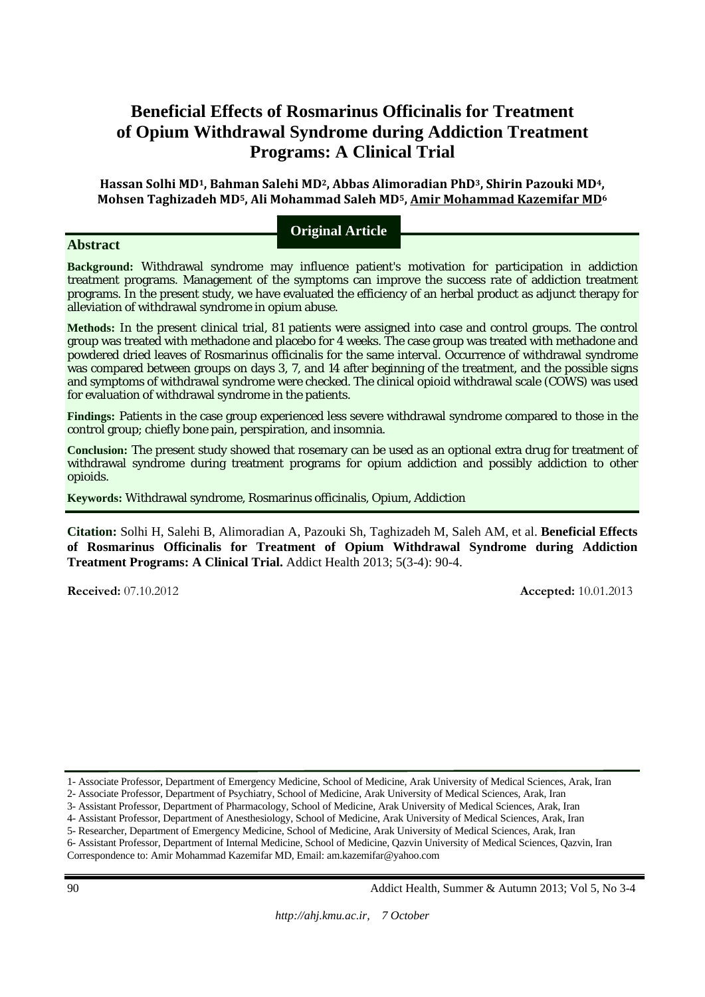# **Beneficial Effects of Rosmarinus Officinalis for Treatment of Opium Withdrawal Syndrome during Addiction Treatment Programs: A Clinical Trial**

**Hassan Solhi MD1, Bahman Salehi MD2, Abbas Alimoradian PhD3, Shirin Pazouki MD4, Mohsen Taghizadeh MD5, Ali Mohammad Saleh MD5, Amir Mohammad Kazemifar MD6**

**Abstract** 

**Original Article**

**Background:** Withdrawal syndrome may influence patient's motivation for participation in addiction treatment programs. Management of the symptoms can improve the success rate of addiction treatment programs. In the present study, we have evaluated the efficiency of an herbal product as adjunct therapy for alleviation of withdrawal syndrome in opium abuse.

**Methods:** In the present clinical trial, 81 patients were assigned into case and control groups. The control group was treated with methadone and placebo for 4 weeks. The case group was treated with methadone and powdered dried leaves of Rosmarinus officinalis for the same interval. Occurrence of withdrawal syndrome was compared between groups on days 3, 7, and 14 after beginning of the treatment, and the possible signs and symptoms of withdrawal syndrome were checked. The clinical opioid withdrawal scale (COWS) was used for evaluation of withdrawal syndrome in the patients.

**Findings:** Patients in the case group experienced less severe withdrawal syndrome compared to those in the control group; chiefly bone pain, perspiration, and insomnia.

**Conclusion:** The present study showed that rosemary can be used as an optional extra drug for treatment of withdrawal syndrome during treatment programs for opium addiction and possibly addiction to other opioids.

**Keywords:** Withdrawal syndrome, Rosmarinus officinalis, Opium, Addiction

**Citation:** Solhi H, Salehi B, Alimoradian A, Pazouki Sh, Taghizadeh M, Saleh AM, et al. **Beneficial Effects of Rosmarinus Officinalis for Treatment of Opium Withdrawal Syndrome during Addiction Treatment Programs: A Clinical Trial.** Addict Health 2013; 5(3-4): 90-4.

**Received:** 07.10.2012 **Accepted:** 10.01.2013

Correspondence to: Amir Mohammad Kazemifar MD, Email: am.kazemifar@yahoo.com

<sup>1-</sup> Associate Professor, Department of Emergency Medicine, School of Medicine, Arak University of Medical Sciences, Arak, Iran

<sup>2-</sup> Associate Professor, Department of Psychiatry, School of Medicine, Arak University of Medical Sciences, Arak, Iran

<sup>3-</sup> Assistant Professor, Department of Pharmacology, School of Medicine, Arak University of Medical Sciences, Arak, Iran 4- Assistant Professor, Department of Anesthesiology, School of Medicine, Arak University of Medical Sciences, Arak, Iran

<sup>5-</sup> Researcher, Department of Emergency Medicine, School of Medicine, Arak University of Medical Sciences, Arak, Iran

<sup>6-</sup> Assistant Professor, Department of Internal Medicine, School of Medicine, Qazvin University of Medical Sciences, Qazvin, Iran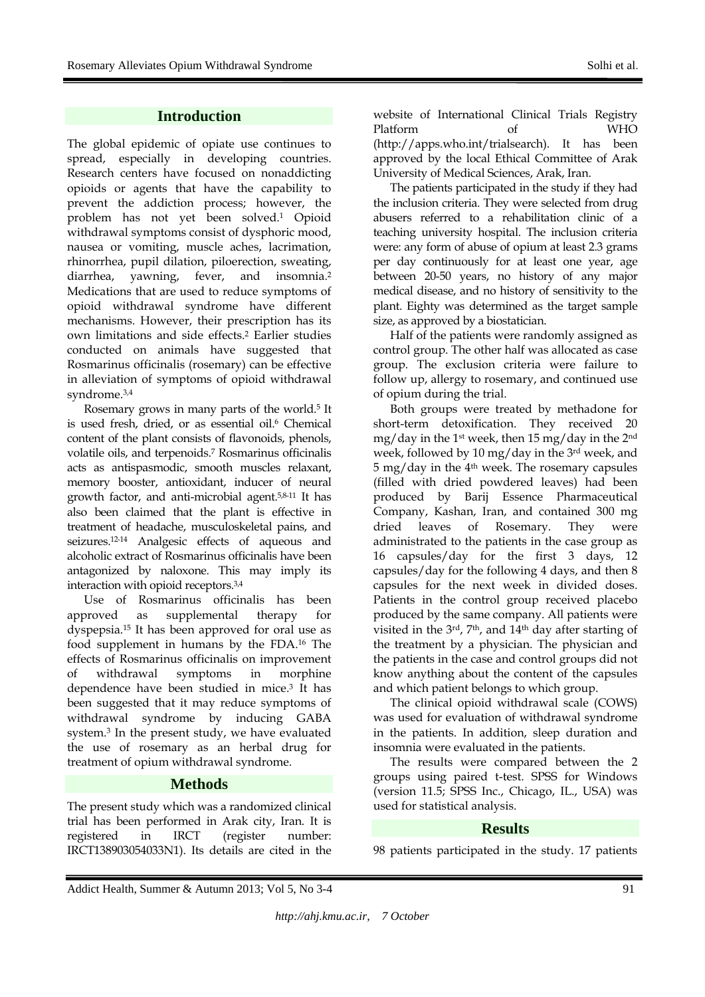# **Introduction**

The global epidemic of opiate use continues to spread, especially in developing countries. Research centers have focused on nonaddicting opioids or agents that have the capability to prevent the addiction process; however, the problem has not yet been solved.1 Opioid withdrawal symptoms consist of dysphoric mood, nausea or vomiting, muscle aches, lacrimation, rhinorrhea, pupil dilation, piloerection, sweating, diarrhea, yawning, fever, and insomnia.<sup>2</sup> Medications that are used to reduce symptoms of opioid withdrawal syndrome have different mechanisms. However, their prescription has its own limitations and side effects.2 Earlier studies conducted on animals have suggested that Rosmarinus officinalis (rosemary) can be effective in alleviation of symptoms of opioid withdrawal syndrome.3,4

Rosemary grows in many parts of the world.5 It is used fresh, dried, or as essential oil.<sup>6</sup> Chemical content of the plant consists of flavonoids, phenols, volatile oils, and terpenoids.7 Rosmarinus officinalis acts as antispasmodic, smooth muscles relaxant, memory booster, antioxidant, inducer of neural growth factor, and anti-microbial agent.5,8-11 It has also been claimed that the plant is effective in treatment of headache, musculoskeletal pains, and seizures.12-14 Analgesic effects of aqueous and alcoholic extract of Rosmarinus officinalis have been antagonized by naloxone. This may imply its interaction with opioid receptors.3,4

Use of Rosmarinus officinalis has been approved as supplemental therapy for dyspepsia.15 It has been approved for oral use as food supplement in humans by the FDA.16 The effects of Rosmarinus officinalis on improvement of withdrawal symptoms in morphine dependence have been studied in mice.3 It has been suggested that it may reduce symptoms of withdrawal syndrome by inducing GABA system.3 In the present study, we have evaluated the use of rosemary as an herbal drug for treatment of opium withdrawal syndrome.

# **Methods**

The present study which was a randomized clinical trial has been performed in Arak city, Iran. It is registered in IRCT (register number: IRCT138903054033N1). Its details are cited in the website of International Clinical Trials Registry Platform of WHO (http://apps.who.int/trialsearch). It has been approved by the local Ethical Committee of Arak University of Medical Sciences, Arak, Iran.

The patients participated in the study if they had the inclusion criteria. They were selected from drug abusers referred to a rehabilitation clinic of a teaching university hospital. The inclusion criteria were: any form of abuse of opium at least 2.3 grams per day continuously for at least one year, age between 20-50 years, no history of any major medical disease, and no history of sensitivity to the plant. Eighty was determined as the target sample size, as approved by a biostatician.

Half of the patients were randomly assigned as control group. The other half was allocated as case group. The exclusion criteria were failure to follow up, allergy to rosemary, and continued use of opium during the trial.

Both groups were treated by methadone for short-term detoxification. They received 20 mg/day in the 1<sup>st</sup> week, then 15 mg/day in the 2<sup>nd</sup> week, followed by 10 mg/day in the 3rd week, and 5 mg/day in the 4th week. The rosemary capsules (filled with dried powdered leaves) had been produced by Barij Essence Pharmaceutical Company, Kashan, Iran, and contained 300 mg dried leaves of Rosemary. They were administrated to the patients in the case group as 16 capsules/day for the first 3 days, 12 capsules/day for the following 4 days, and then 8 capsules for the next week in divided doses. Patients in the control group received placebo produced by the same company. All patients were visited in the  $3<sup>rd</sup>$ , 7<sup>th</sup>, and  $14<sup>th</sup>$  day after starting of the treatment by a physician. The physician and the patients in the case and control groups did not know anything about the content of the capsules and which patient belongs to which group.

The clinical opioid withdrawal scale (COWS) was used for evaluation of withdrawal syndrome in the patients. In addition, sleep duration and insomnia were evaluated in the patients.

The results were compared between the 2 groups using paired t-test. SPSS for Windows (version 11.5; SPSS Inc., Chicago, IL., USA) was used for statistical analysis.

# **Results**

98 patients participated in the study. 17 patients

Addict Health, Summer & Autumn 2013; Vol 5, No 3-4 91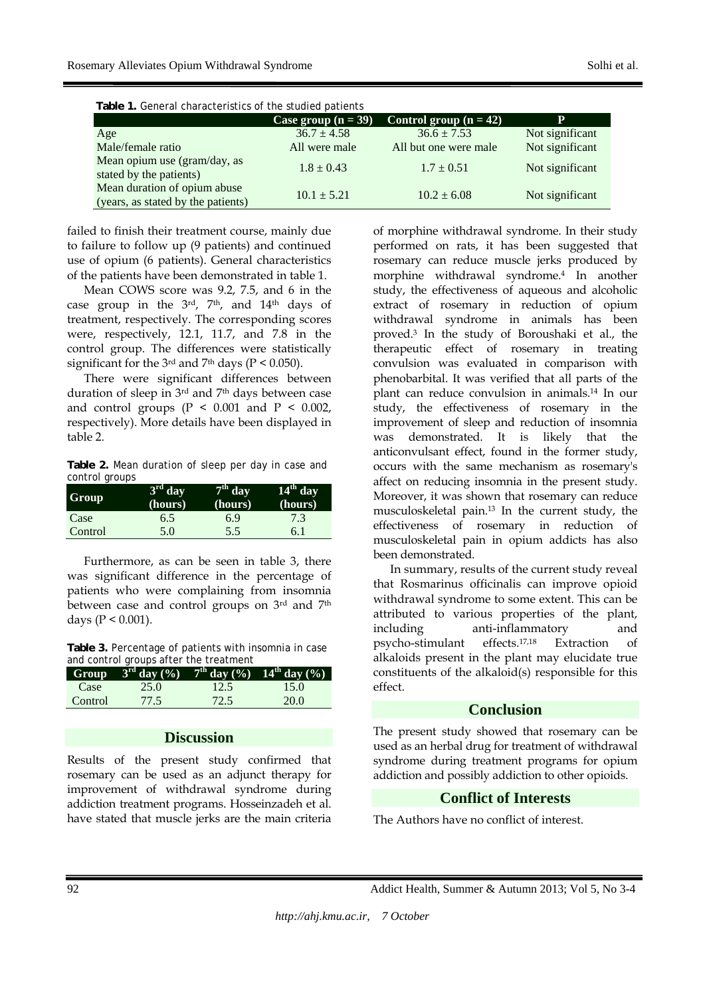| Table 1. General characteristics of the studied patients           |                       |                          |                 |  |  |
|--------------------------------------------------------------------|-----------------------|--------------------------|-----------------|--|--|
|                                                                    | Case group $(n = 39)$ | Control group $(n = 42)$ | P               |  |  |
| Age                                                                | $36.7 \pm 4.58$       | $36.6 \pm 7.53$          | Not significant |  |  |
| Male/female ratio                                                  | All were male         | All but one were male    | Not significant |  |  |
| Mean opium use (gram/day, as<br>stated by the patients)            | $1.8 \pm 0.43$        | $1.7 \pm 0.51$           | Not significant |  |  |
| Mean duration of opium abuse<br>(years, as stated by the patients) | $10.1 \pm 5.21$       | $10.2 \pm 6.08$          | Not significant |  |  |

**Table 1.** General characteristics of the studied patients

failed to finish their treatment course, mainly due to failure to follow up (9 patients) and continued use of opium (6 patients). General characteristics of the patients have been demonstrated in table 1.

Mean COWS score was 9.2, 7.5, and 6 in the case group in the 3rd, 7<sup>th</sup>, and 14<sup>th</sup> days of treatment, respectively. The corresponding scores were, respectively, 12.1, 11.7, and 7.8 in the control group. The differences were statistically significant for the  $3<sup>rd</sup>$  and  $7<sup>th</sup>$  days (P < 0.050).

There were significant differences between duration of sleep in 3rd and 7<sup>th</sup> days between case and control groups ( $P < 0.001$  and  $P < 0.002$ , respectively). More details have been displayed in table 2.

**Table 2.** Mean duration of sleep per day in case and control groups

| <b>Group</b> | $3rd$ day<br>(hours) | $7th$ day<br>(hours) | $14th$ day<br>(hours) |
|--------------|----------------------|----------------------|-----------------------|
| Case         | 6.5                  | 6.9                  | 7.3                   |
| Control      | 5.0                  | 5.5                  | 6. I                  |

Furthermore, as can be seen in table 3, there was significant difference in the percentage of patients who were complaining from insomnia between case and control groups on 3rd and 7th days (P < 0.001).

**Table 3.** Percentage of patients with insomnia in case and control groups after the treatment

| Group   | $3^{\text{rd}}$ day $(\frac{9}{6})$ |      | $7^{th}$ day $(%)$ 14 <sup>th</sup> day $(%)$ |
|---------|-------------------------------------|------|-----------------------------------------------|
| Case    | 25.0                                | 12.5 | 15.0                                          |
| Control | 77.5                                | 72.5 | 20.0                                          |

# **Discussion**

Results of the present study confirmed that rosemary can be used as an adjunct therapy for improvement of withdrawal syndrome during addiction treatment programs. Hosseinzadeh et al. have stated that muscle jerks are the main criteria of morphine withdrawal syndrome. In their study performed on rats, it has been suggested that rosemary can reduce muscle jerks produced by morphine withdrawal syndrome.4 In another study, the effectiveness of aqueous and alcoholic extract of rosemary in reduction of opium withdrawal syndrome in animals has been proved.3 In the study of Boroushaki et al., the therapeutic effect of rosemary in treating convulsion was evaluated in comparison with phenobarbital. It was verified that all parts of the plant can reduce convulsion in animals.14 In our study, the effectiveness of rosemary in the improvement of sleep and reduction of insomnia was demonstrated. It is likely that the anticonvulsant effect, found in the former study, occurs with the same mechanism as rosemary's affect on reducing insomnia in the present study. Moreover, it was shown that rosemary can reduce musculoskeletal pain.13 In the current study, the effectiveness of rosemary in reduction of musculoskeletal pain in opium addicts has also been demonstrated.

In summary, results of the current study reveal that Rosmarinus officinalis can improve opioid withdrawal syndrome to some extent. This can be attributed to various properties of the plant, including anti-inflammatory and psycho-stimulant effects.17,18 Extraction of alkaloids present in the plant may elucidate true constituents of the alkaloid(s) responsible for this effect.

#### **Conclusion**

The present study showed that rosemary can be used as an herbal drug for treatment of withdrawal syndrome during treatment programs for opium addiction and possibly addiction to other opioids.

# **Conflict of Interests**

The Authors have no conflict of interest.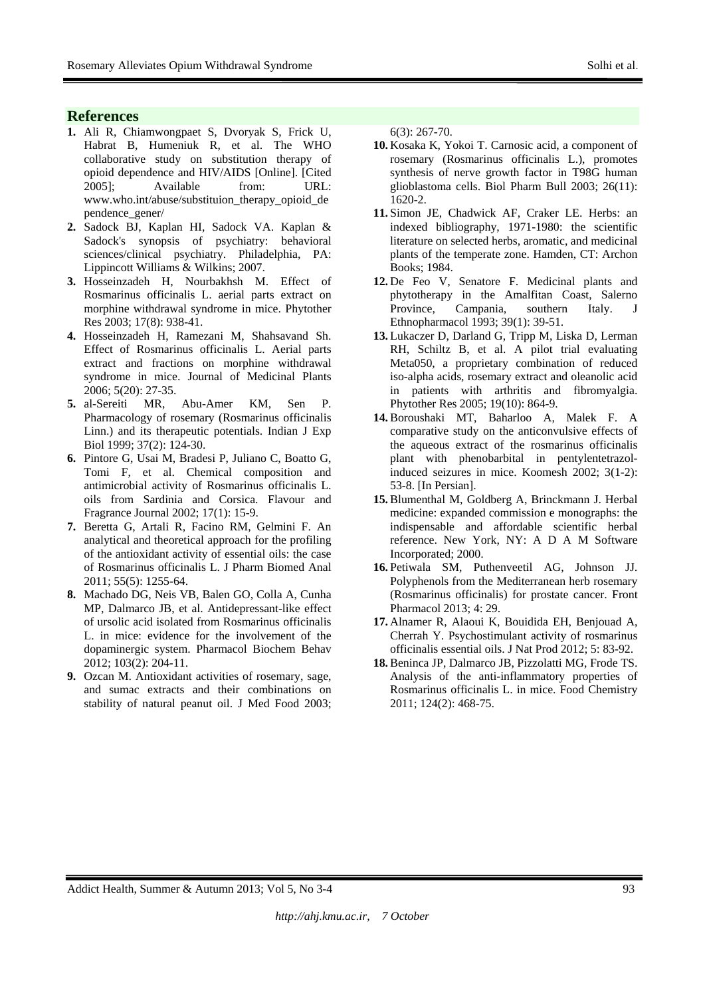# **References**

- **1.** Ali R, Chiamwongpaet S, Dvoryak S, Frick U, Habrat B, Humeniuk R, et al. The WHO collaborative study on substitution therapy of opioid dependence and HIV/AIDS [Online]. [Cited 2005]; Available from: URL: www.who.int/abuse/substituion\_therapy\_opioid\_de pendence\_gener/
- **2.** Sadock BJ, Kaplan HI, Sadock VA. Kaplan & Sadock's synopsis of psychiatry: behavioral sciences/clinical psychiatry. Philadelphia, PA: Lippincott Williams & Wilkins; 2007.
- **3.** Hosseinzadeh H, Nourbakhsh M. Effect of Rosmarinus officinalis L. aerial parts extract on morphine withdrawal syndrome in mice. Phytother Res 2003; 17(8): 938-41.
- **4.** Hosseinzadeh H, Ramezani M, Shahsavand Sh. Effect of Rosmarinus officinalis L. Aerial parts extract and fractions on morphine withdrawal syndrome in mice. Journal of Medicinal Plants 2006; 5(20): 27-35.
- **5.** al-Sereiti MR, Abu-Amer KM, Sen P. Pharmacology of rosemary (Rosmarinus officinalis Linn.) and its therapeutic potentials. Indian J Exp Biol 1999; 37(2): 124-30.
- **6.** Pintore G, Usai M, Bradesi P, Juliano C, Boatto G, Tomi F, et al. Chemical composition and antimicrobial activity of Rosmarinus officinalis L. oils from Sardinia and Corsica. Flavour and Fragrance Journal 2002; 17(1): 15-9.
- **7.** Beretta G, Artali R, Facino RM, Gelmini F. An analytical and theoretical approach for the profiling of the antioxidant activity of essential oils: the case of Rosmarinus officinalis L. J Pharm Biomed Anal 2011; 55(5): 1255-64.
- **8.** Machado DG, Neis VB, Balen GO, Colla A, Cunha MP, Dalmarco JB, et al. Antidepressant-like effect of ursolic acid isolated from Rosmarinus officinalis L. in mice: evidence for the involvement of the dopaminergic system. Pharmacol Biochem Behav 2012; 103(2): 204-11.
- **9.** Ozcan M. Antioxidant activities of rosemary, sage, and sumac extracts and their combinations on stability of natural peanut oil. J Med Food 2003;

6(3): 267-70.

- **10.** Kosaka K, Yokoi T. Carnosic acid, a component of rosemary (Rosmarinus officinalis L.), promotes synthesis of nerve growth factor in T98G human glioblastoma cells. Biol Pharm Bull 2003; 26(11): 1620-2.
- **11.** Simon JE, Chadwick AF, Craker LE. Herbs: an indexed bibliography, 1971-1980: the scientific literature on selected herbs, aromatic, and medicinal plants of the temperate zone. Hamden, CT: Archon Books; 1984.
- **12.** De Feo V, Senatore F. Medicinal plants and phytotherapy in the Amalfitan Coast, Salerno Province, Campania, southern Italy. J Ethnopharmacol 1993; 39(1): 39-51.
- **13.** Lukaczer D, Darland G, Tripp M, Liska D, Lerman RH, Schiltz B, et al. A pilot trial evaluating Meta050, a proprietary combination of reduced iso-alpha acids, rosemary extract and oleanolic acid in patients with arthritis and fibromyalgia. Phytother Res 2005; 19(10): 864-9.
- **14.** Boroushaki MT, Baharloo A, Malek F. A comparative study on the anticonvulsive effects of the aqueous extract of the rosmarinus officinalis plant with phenobarbital in pentylentetrazolinduced seizures in mice. Koomesh 2002; 3(1-2): 53-8. [In Persian].
- **15.** Blumenthal M, Goldberg A, Brinckmann J. Herbal medicine: expanded commission e monographs: the indispensable and affordable scientific herbal reference. New York, NY: A D A M Software Incorporated; 2000.
- **16.** Petiwala SM, Puthenveetil AG, Johnson JJ. Polyphenols from the Mediterranean herb rosemary (Rosmarinus officinalis) for prostate cancer. Front Pharmacol 2013; 4: 29.
- **17.** Alnamer R, Alaoui K, Bouidida EH, Benjouad A, Cherrah Y. Psychostimulant activity of rosmarinus officinalis essential oils. J Nat Prod 2012; 5: 83-92.
- **18.** Beninca JP, Dalmarco JB, Pizzolatti MG, Frode TS. Analysis of the anti-inflammatory properties of Rosmarinus officinalis L. in mice. Food Chemistry 2011; 124(2): 468-75.

Addict Health, Summer & Autumn 2013; Vol 5, No 3-4 93